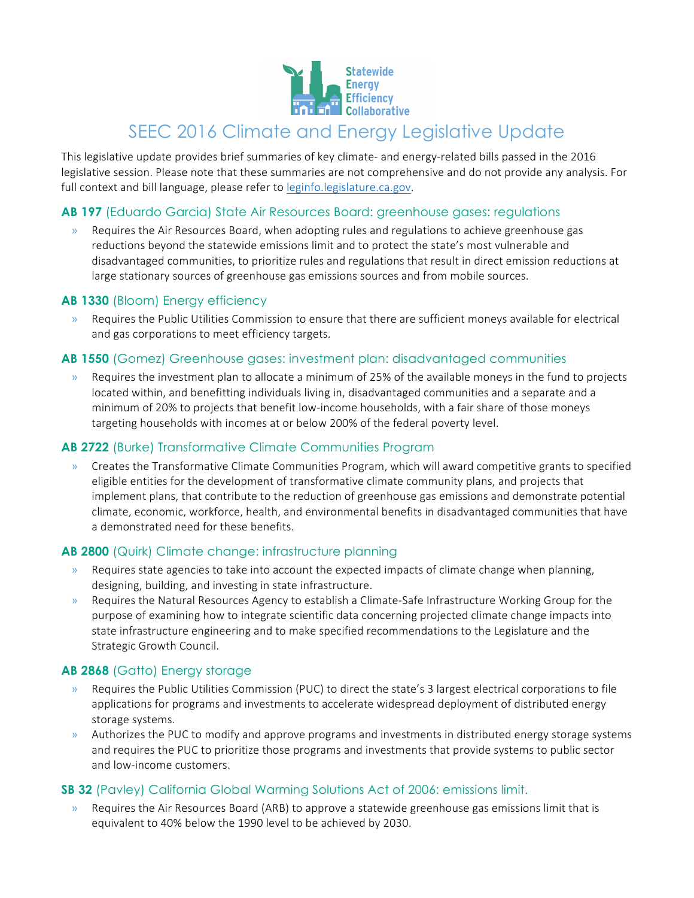

# SEEC 2016 Climate and Energy Legislative Update

This legislative update provides brief summaries of key climate- and energy-related bills passed in the 2016 legislative session. Please note that these summaries are not comprehensive and do not provide any analysis. For full context and bill language, please refer to [leginfo.legislature.ca.gov.](leginfo.legislature.ca.gov)

# **AB 197** (Eduardo Garcia) State Air Resources Board: greenhouse gases: regulations

Requires the Air Resources Board, when adopting rules and regulations to achieve greenhouse gas reductions beyond the statewide emissions limit and to protect the state's most vulnerable and disadvantaged communities, to prioritize rules and regulations that result in direct emission reductions at large stationary sources of greenhouse gas emissions sources and from mobile sources.

#### **AB 1330** (Bloom) Energy efficiency

» Requires the Public Utilities Commission to ensure that there are sufficient moneys available for electrical and gas corporations to meet efficiency targets.

## **AB 1550** (Gomez) Greenhouse gases: investment plan: disadvantaged communities

» Requires the investment plan to allocate a minimum of 25% of the available moneys in the fund to projects located within, and benefitting individuals living in, disadvantaged communities and a separate and a minimum of 20% to projects that benefit low-income households, with a fair share of those moneys targeting households with incomes at or below 200% of the federal poverty level.

#### **AB 2722** (Burke) Transformative Climate Communities Program

» Creates the Transformative Climate Communities Program, which will award competitive grants to specified eligible entities for the development of transformative climate community plans, and projects that implement plans, that contribute to the reduction of greenhouse gas emissions and demonstrate potential climate, economic, workforce, health, and environmental benefits in disadvantaged communities that have a demonstrated need for these benefits.

#### **AB 2800** (Quirk) Climate change: infrastructure planning

- » Requires state agencies to take into account the expected impacts of climate change when planning, designing, building, and investing in state infrastructure.
- » Requires the Natural Resources Agency to establish a Climate-Safe Infrastructure Working Group for the purpose of examining how to integrate scientific data concerning projected climate change impacts into state infrastructure engineering and to make specified recommendations to the Legislature and the Strategic Growth Council.

# **AB 2868** (Gatto) Energy storage

- » Requires the Public Utilities Commission (PUC) to direct the state's 3 largest electrical corporations to file applications for programs and investments to accelerate widespread deployment of distributed energy storage systems.
- » Authorizes the PUC to modify and approve programs and investments in distributed energy storage systems and requires the PUC to prioritize those programs and investments that provide systems to public sector and low-income customers.

#### **SB 32** (Pavley) California Global Warming Solutions Act of 2006: emissions limit.

Requires the Air Resources Board (ARB) to approve a statewide greenhouse gas emissions limit that is equivalent to 40% below the 1990 level to be achieved by 2030.